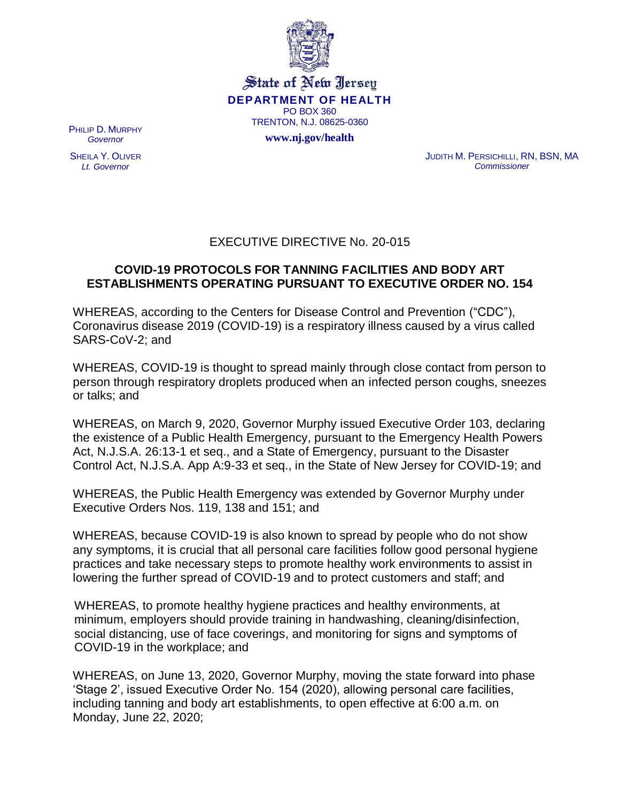

State of New Jersey **DEPARTMENT OF HEALTH** PO BOX 360 TRENTON, N.J. 08625-0360

**www.nj.gov/health**

PHILIP D. MURPHY *Governor*

SHEILA Y. OLIVER *Lt. Governor*

JUDITH M. PERSICHILLI, RN, BSN, MA *Commissioner*

## EXECUTIVE DIRECTIVE No. 20-015

## **COVID-19 PROTOCOLS FOR TANNING FACILITIES AND BODY ART ESTABLISHMENTS OPERATING PURSUANT TO EXECUTIVE ORDER NO. 154**

WHEREAS, according to the Centers for Disease Control and Prevention ("CDC"), Coronavirus disease 2019 (COVID-19) is a respiratory illness caused by a virus called SARS-CoV-2; and

WHEREAS, COVID-19 is thought to spread mainly through close contact from person to person through respiratory droplets produced when an infected person coughs, sneezes or talks; and

WHEREAS, on March 9, 2020, Governor Murphy issued Executive Order 103, declaring the existence of a Public Health Emergency, pursuant to the Emergency Health Powers Act, N.J.S.A. 26:13-1 et seq., and a State of Emergency, pursuant to the Disaster Control Act, N.J.S.A. App A:9-33 et seq., in the State of New Jersey for COVID-19; and

WHEREAS, the Public Health Emergency was extended by Governor Murphy under Executive Orders Nos. 119, 138 and 151; and

WHEREAS, because COVID-19 is also known to spread by people who do not show any symptoms, it is crucial that all personal care facilities follow good personal hygiene practices and take necessary steps to promote healthy work environments to assist in lowering the further spread of COVID-19 and to protect customers and staff; and

WHEREAS, to promote healthy hygiene practices and healthy environments, at minimum, employers should provide training in [handwashing,](https://www.cdc.gov/handwashing/when-how-handwashing.html) [cleaning/disinfection,](https://www.cdc.gov/coronavirus/2019-ncov/community/disinfecting-building-facility.html) [social distancing,](https://www.cdc.gov/coronavirus/2019-ncov/prevent-getting-sick/social-distancing.html) [use of face coverings,](https://www.cdc.gov/coronavirus/2019-ncov/prevent-getting-sick/diy-cloth-face-coverings.html) and monitoring for [signs and symptoms of](https://www.cdc.gov/coronavirus/2019-ncov/symptoms-testing/symptoms.html?CDC_AA_refVal=https%3A%2F%2Fwww.cdc.gov%2Fcoronavirus%2F2019-ncov%2Fabout%2Fsymptoms.html)  [COVID-19](https://www.cdc.gov/coronavirus/2019-ncov/symptoms-testing/symptoms.html?CDC_AA_refVal=https%3A%2F%2Fwww.cdc.gov%2Fcoronavirus%2F2019-ncov%2Fabout%2Fsymptoms.html) in the workplace; and

WHEREAS, on June 13, 2020, Governor Murphy, moving the state forward into phase 'Stage 2', issued Executive Order No. 154 (2020), allowing personal care facilities, including tanning and body art establishments, to open effective at 6:00 a.m. on Monday, June 22, 2020;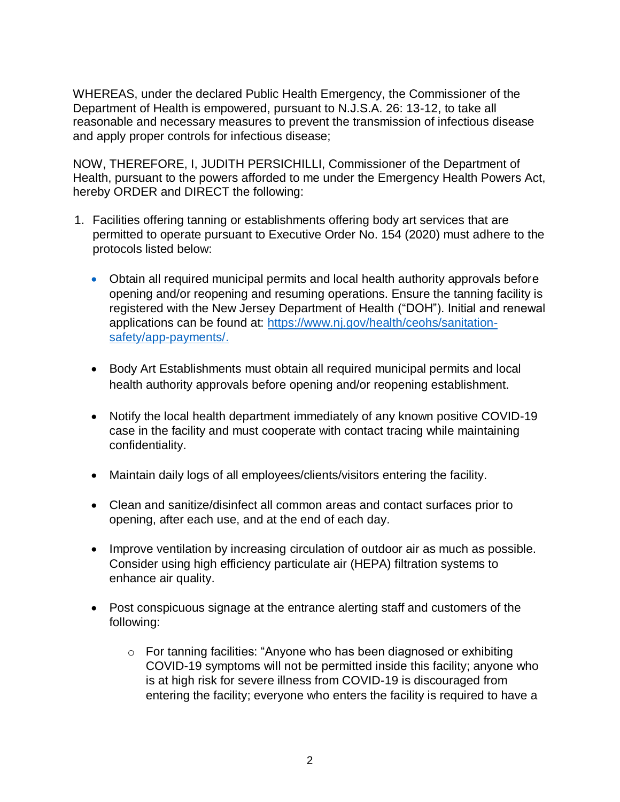WHEREAS, under the declared Public Health Emergency, the Commissioner of the Department of Health is empowered, pursuant to N.J.S.A. 26: 13-12, to take all reasonable and necessary measures to prevent the transmission of infectious disease and apply proper controls for infectious disease;

NOW, THEREFORE, I, JUDITH PERSICHILLI, Commissioner of the Department of Health, pursuant to the powers afforded to me under the Emergency Health Powers Act, hereby ORDER and DIRECT the following:

- 1. Facilities offering tanning or establishments offering body art services that are permitted to operate pursuant to Executive Order No. 154 (2020) must adhere to the protocols listed below:
	- Obtain all required municipal permits and local health authority approvals before opening and/or reopening and resuming operations. Ensure the tanning facility is registered with the New Jersey Department of Health ("DOH"). Initial and renewal applications can be found at: [https://www.nj.gov/health/ceohs/sanitation](https://www.nj.gov/health/ceohs/sanitation-safety/app-payments/)[safety/app-payments/.](https://www.nj.gov/health/ceohs/sanitation-safety/app-payments/)
	- Body Art Establishments must obtain all required municipal permits and local health authority approvals before opening and/or reopening establishment.
	- Notify the [local health department](https://www.nj.gov/health/webdata/lh/documents/lhdirectory.pdf) immediately of any known positive COVID-19 case in the facility and must cooperate with contact tracing while maintaining confidentiality.
	- Maintain daily logs of all employees/clients/visitors entering the facility.
	- Clean and sanitize/disinfect all common areas and contact surfaces prior to opening, after each use, and at the end of each day.
	- Improve ventilation by increasing circulation of outdoor air as much as possible. Consider using high efficiency particulate air (HEPA) filtration systems to enhance air quality.
	- Post conspicuous signage at the entrance alerting staff and customers of the following:
		- o For tanning facilities: "Anyone who has been diagnosed or exhibiting COVID-19 [symptoms](https://www.cdc.gov/coronavirus/2019-ncov/symptoms-testing/symptoms.html?CDC_AA_refVal=https%3A%2F%2Fwww.cdc.gov%2Fcoronavirus%2F2019-ncov%2Fabout%2Fsymptoms.html) will not be permitted inside this facility; anyone who is at [high risk](https://www.cdc.gov/coronavirus/2019-ncov/need-extra-precautions/people-at-higher-risk.html) for severe illness from COVID-19 is discouraged from entering the facility; everyone who enters the facility is required to have a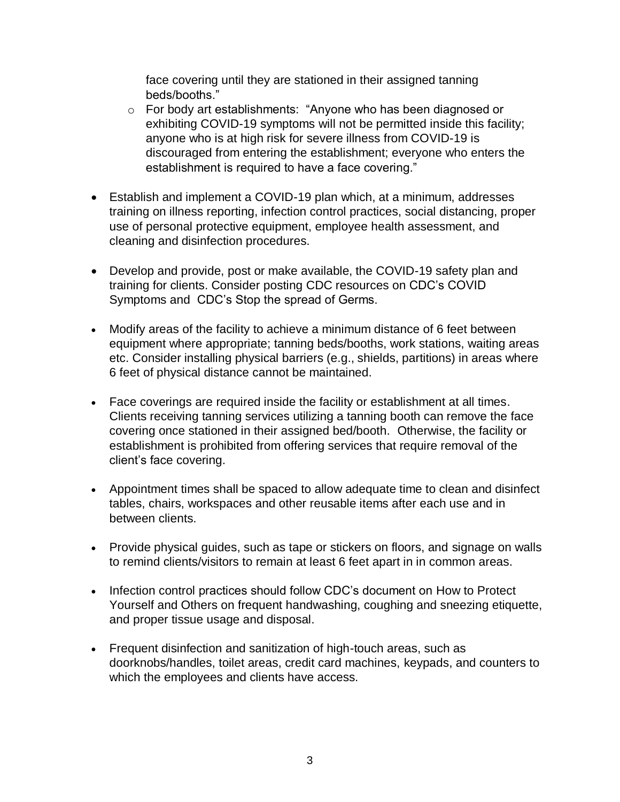face covering until they are stationed in their assigned tanning beds/booths."

- o For body art establishments: "Anyone who has been diagnosed or exhibiting COVID-19 [symptoms](https://www.cdc.gov/coronavirus/2019-ncov/symptoms-testing/symptoms.html?CDC_AA_refVal=https%3A%2F%2Fwww.cdc.gov%2Fcoronavirus%2F2019-ncov%2Fabout%2Fsymptoms.html) will not be permitted inside this facility; anyone who is at [high risk](https://www.cdc.gov/coronavirus/2019-ncov/need-extra-precautions/people-at-higher-risk.html) for severe illness from COVID-19 is discouraged from entering the establishment; everyone who enters the establishment is required to have a face covering."
- Establish and implement a COVID-19 plan which, at a minimum, addresses training on illness reporting, infection control practices, social distancing, proper use of personal protective equipment, employee health assessment, and cleaning and disinfection procedures.
- Develop and provide, post or make available, the COVID-19 safety plan and training for clients. Consider posting CDC resources on [CDC's COVID](https://www.cdc.gov/coronavirus/2019-ncov/downloads/COVID19-symptoms.pdf)  [Symptoms](https://www.cdc.gov/coronavirus/2019-ncov/downloads/COVID19-symptoms.pdf) and [CDC's Stop the spread of Germs.](https://www.cdc.gov/coronavirus/2019-ncov/downloads/stop-the-spread-of-germs.pdf)
- Modify areas of the facility to achieve a minimum distance of 6 feet between equipment where appropriate; tanning beds/booths, work stations, waiting areas etc. Consider installing physical barriers (e.g., shields, partitions) in areas where 6 feet of physical distance cannot be maintained.
- Face coverings are required inside the facility or establishment at all times. Clients receiving tanning services utilizing a tanning booth can remove the face covering once stationed in their assigned bed/booth. Otherwise, the facility or establishment is prohibited from offering services that require removal of the client's face covering.
- Appointment times shall be spaced to allow adequate time to clean and disinfect tables, chairs, workspaces and other reusable items after each use and in between clients.
- Provide physical guides, such as tape or stickers on floors, and signage on walls to remind clients/visitors to remain at least 6 feet apart in in common areas.
- Infection control practices should follow CDC's document on [How to Protect](https://www.cdc.gov/coronavirus/2019-ncov/prevent-getting-sick/prevention.html)  [Yourself and Others](https://www.cdc.gov/coronavirus/2019-ncov/prevent-getting-sick/prevention.html) on frequent handwashing, coughing and sneezing etiquette, and proper tissue usage and disposal.
- Frequent disinfection and sanitization of high-touch areas, such as doorknobs/handles, toilet areas, credit card machines, keypads, and counters to which the employees and clients have access.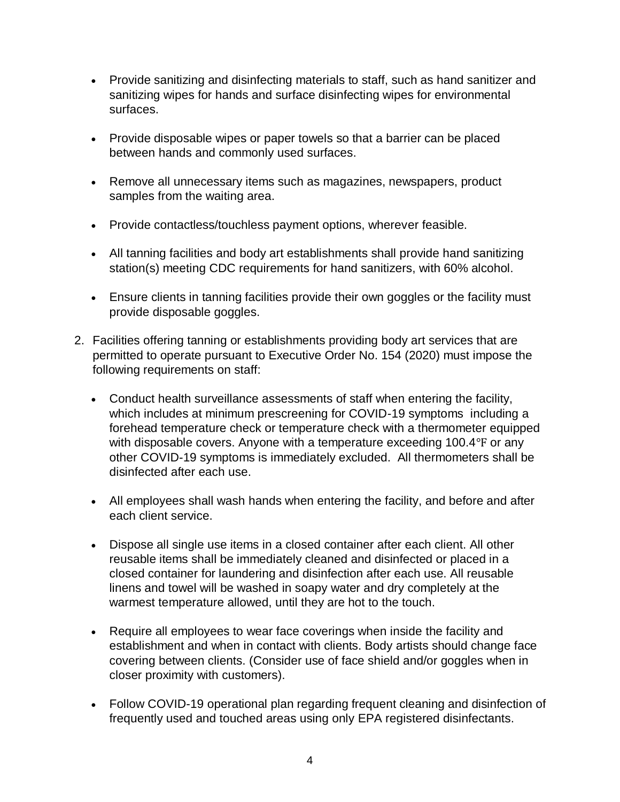- Provide sanitizing and disinfecting materials to staff, such as hand sanitizer and sanitizing wipes for hands and surface disinfecting wipes for environmental surfaces.
- Provide disposable wipes or paper towels so that a barrier can be placed between hands and commonly used surfaces.
- Remove all unnecessary items such as magazines, newspapers, product samples from the waiting area.
- Provide contactless/touchless payment options, wherever feasible.
- All tanning facilities and body art establishments shall provide hand sanitizing station(s) meeting CDC requirements for hand sanitizers, with 60% alcohol.
- Ensure clients in tanning facilities provide their own goggles or the facility must provide disposable goggles.
- 2. Facilities offering tanning or establishments providing body art services that are permitted to operate pursuant to Executive Order No. 154 (2020) must impose the following requirements on staff:
	- Conduct health surveillance assessments of staff when entering the facility, which includes at minimum prescreening for COVID-19 [symptoms](https://www.nj.gov/health/cd/documents/topics/NCOV/COVID-19_FactSheet.pdf) including a forehead temperature check or temperature check with a thermometer equipped with disposable covers. Anyone with a temperature exceeding 100.4°F or any other COVID-19 symptoms is immediately excluded. All thermometers shall be disinfected after each use.
	- All employees shall wash hands when entering the facility, and before and after each client service.
	- Dispose all single use items in a closed container after each client. All other reusable items shall be immediately cleaned and disinfected or placed in a closed container for laundering and disinfection after each use. All reusable linens and towel will be washed in soapy water and dry completely at the warmest temperature allowed, until they are hot to the touch.
	- Require all employees to wear face coverings when inside the facility and establishment and when in contact with clients. Body artists should change face covering between clients. (Consider use of face shield and/or goggles when in closer proximity with customers).
	- Follow COVID-19 operational plan regarding frequent cleaning and disinfection of frequently used and touched areas using only [EPA registered disinfectants.](https://www.epa.gov/pesticide-registration/list-n-disinfectants-use-against-sars-cov-2-covid-19)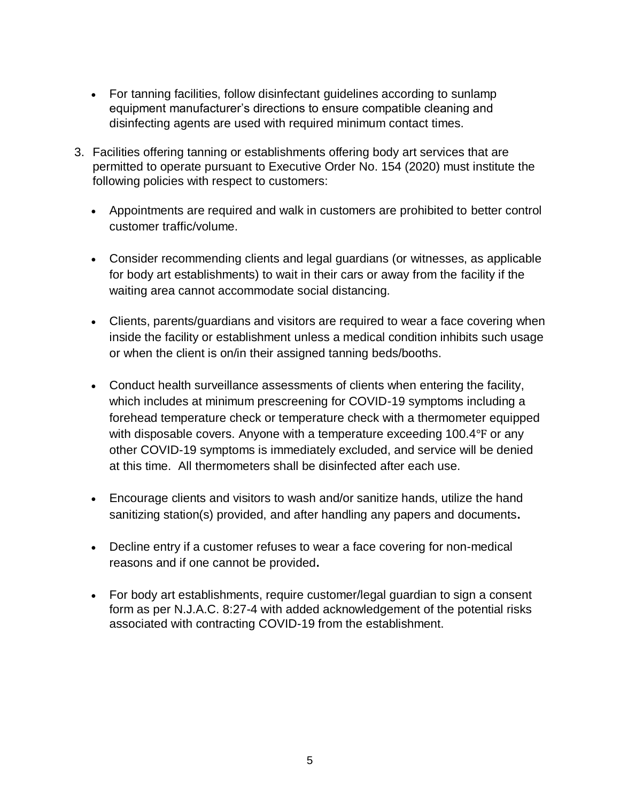- For tanning facilities, follow disinfectant guidelines according to sunlamp equipment manufacturer's directions to ensure compatible cleaning and disinfecting agents are used with required minimum contact times.
- 3. Facilities offering tanning or establishments offering body art services that are permitted to operate pursuant to Executive Order No. 154 (2020) must institute the following policies with respect to customers:
	- Appointments are required and walk in customers are prohibited to better control customer traffic/volume.
	- Consider recommending clients and legal guardians (or witnesses, as applicable for body art establishments) to wait in their cars or away from the facility if the waiting area cannot accommodate social distancing.
	- Clients, parents/guardians and visitors are required to wear a face covering when inside the facility or establishment unless a medical condition inhibits such usage or when the client is on/in their assigned tanning beds/booths.
	- Conduct health surveillance assessments of clients when entering the facility, which includes at minimum prescreening for COVID-19 [symptoms](https://www.nj.gov/health/cd/documents/topics/NCOV/COVID-19_FactSheet.pdf) including a forehead temperature check or temperature check with a thermometer equipped with disposable covers. Anyone with a temperature exceeding 100.4°F or any other COVID-19 symptoms is immediately excluded, and service will be denied at this time. All thermometers shall be disinfected after each use.
	- Encourage clients and visitors to wash and/or sanitize hands, utilize the hand sanitizing station(s) provided, and after handling any papers and documents**.**
	- Decline entry if a customer refuses to wear a face covering for non-medical reasons and if one cannot be provided**.**
	- For body art establishments, require customer/legal guardian to sign a consent form as per N.J.A.C. 8:27-4 with added acknowledgement of the potential risks associated with contracting COVID-19 from the establishment.